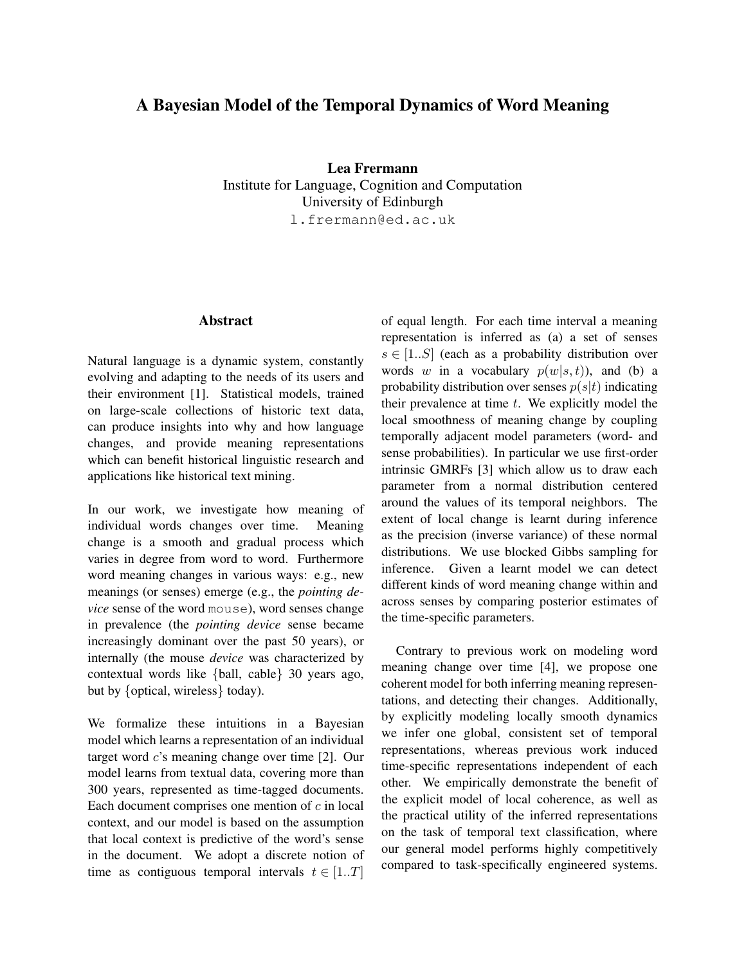## A Bayesian Model of the Temporal Dynamics of Word Meaning

Lea Frermann Institute for Language, Cognition and Computation University of Edinburgh l.frermann@ed.ac.uk

## **Abstract**

Natural language is a dynamic system, constantly evolving and adapting to the needs of its users and their environment [1]. Statistical models, trained on large-scale collections of historic text data, can produce insights into why and how language changes, and provide meaning representations which can benefit historical linguistic research and applications like historical text mining.

In our work, we investigate how meaning of individual words changes over time. Meaning change is a smooth and gradual process which varies in degree from word to word. Furthermore word meaning changes in various ways: e.g., new meanings (or senses) emerge (e.g., the *pointing device* sense of the word mouse), word senses change in prevalence (the *pointing device* sense became increasingly dominant over the past 50 years), or internally (the mouse *device* was characterized by contextual words like {ball, cable} 30 years ago, but by {optical, wireless} today).

We formalize these intuitions in a Bayesian model which learns a representation of an individual target word c's meaning change over time [2]. Our model learns from textual data, covering more than 300 years, represented as time-tagged documents. Each document comprises one mention of  $c$  in local context, and our model is based on the assumption that local context is predictive of the word's sense in the document. We adopt a discrete notion of time as contiguous temporal intervals  $t \in [1..T]$  of equal length. For each time interval a meaning representation is inferred as (a) a set of senses  $s \in [1..S]$  (each as a probability distribution over words w in a vocabulary  $p(w|s,t)$ , and (b) a probability distribution over senses  $p(s|t)$  indicating their prevalence at time  $t$ . We explicitly model the local smoothness of meaning change by coupling temporally adjacent model parameters (word- and sense probabilities). In particular we use first-order intrinsic GMRFs [3] which allow us to draw each parameter from a normal distribution centered around the values of its temporal neighbors. The extent of local change is learnt during inference as the precision (inverse variance) of these normal distributions. We use blocked Gibbs sampling for inference. Given a learnt model we can detect different kinds of word meaning change within and across senses by comparing posterior estimates of the time-specific parameters.

Contrary to previous work on modeling word meaning change over time [4], we propose one coherent model for both inferring meaning representations, and detecting their changes. Additionally, by explicitly modeling locally smooth dynamics we infer one global, consistent set of temporal representations, whereas previous work induced time-specific representations independent of each other. We empirically demonstrate the benefit of the explicit model of local coherence, as well as the practical utility of the inferred representations on the task of temporal text classification, where our general model performs highly competitively compared to task-specifically engineered systems.